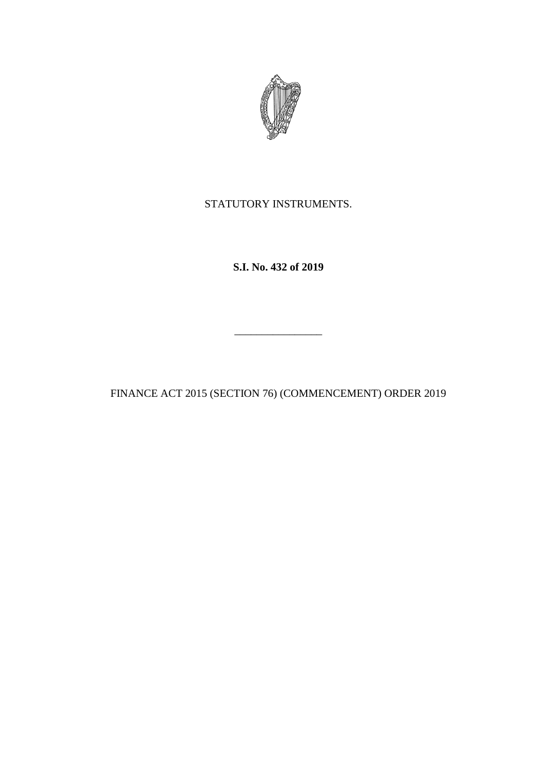

STATUTORY INSTRUMENTS.

**S.I. No. 432 of 2019**

FINANCE ACT 2015 (SECTION 76) (COMMENCEMENT) ORDER 2019

\_\_\_\_\_\_\_\_\_\_\_\_\_\_\_\_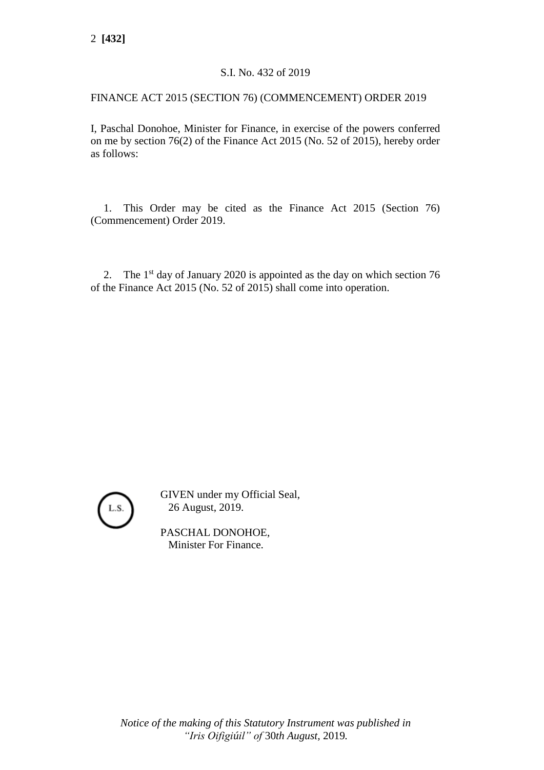## S.I. No. 432 of 2019

## FINANCE ACT 2015 (SECTION 76) (COMMENCEMENT) ORDER 2019

I, Paschal Donohoe, Minister for Finance, in exercise of the powers conferred on me by section 76(2) of the Finance Act 2015 (No. 52 of 2015), hereby order as follows:

1. This Order may be cited as the Finance Act 2015 (Section 76) (Commencement) Order 2019.

2. The  $1<sup>st</sup>$  day of January 2020 is appointed as the day on which section 76 of the Finance Act 2015 (No. 52 of 2015) shall come into operation.



GIVEN under my Official Seal, 26 August, 2019.

PASCHAL DONOHOE, Minister For Finance.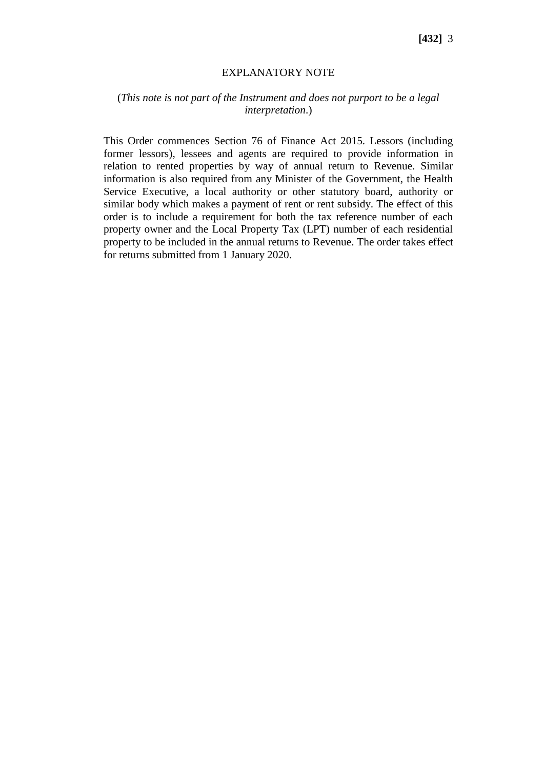## EXPLANATORY NOTE

## (*This note is not part of the Instrument and does not purport to be a legal interpretation*.)

This Order commences Section 76 of Finance Act 2015. Lessors (including former lessors), lessees and agents are required to provide information in relation to rented properties by way of annual return to Revenue. Similar information is also required from any Minister of the Government, the Health Service Executive, a local authority or other statutory board, authority or similar body which makes a payment of rent or rent subsidy. The effect of this order is to include a requirement for both the tax reference number of each property owner and the Local Property Tax (LPT) number of each residential property to be included in the annual returns to Revenue. The order takes effect for returns submitted from 1 January 2020.